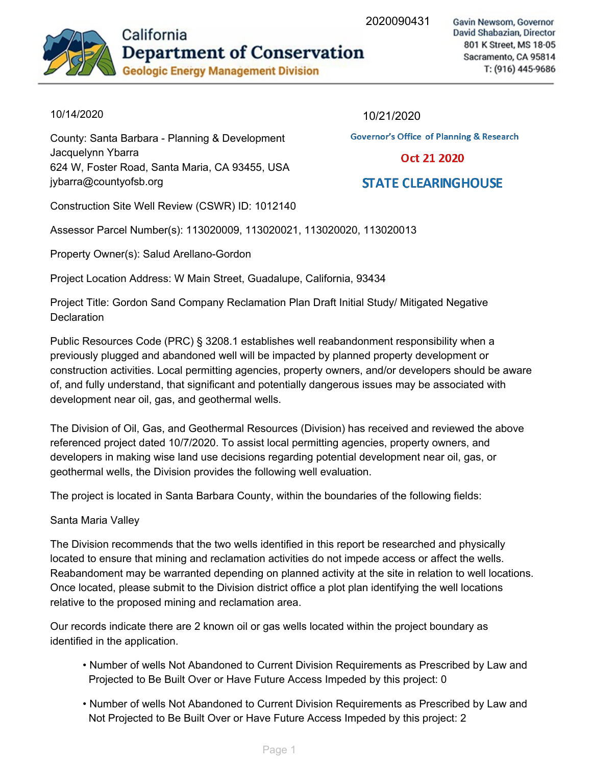2020090431



Gavin Newsom, Governor David Shabazian, Director 801 K Street, MS 18-05 Sacramento, CA 95814 T: (916) 445-9686

### 10/14/2020

County: Santa Barbara - Planning & Development Jacquelynn-Ybarra 624 W, Foster Road, Santa Maria, CA 93455, USA jybarra@countyofsb.org

10/21/2020

**Governor's Office of Planning & Research** 

#### Oct 21 2020

## **STATE CLEARINGHOUSE**

Construction Site Well Review (CSWR) ID: 1012140

Assessor Parcel Number(s): 113020009, 113020021, 113020020, 113020013

Property Owner(s): Salud Arellano-Gordon

Project Location Address: W Main Street, Guadalupe, California, 93434

Project Title: Gordon Sand Company Reclamation Plan Draft Initial Study/ Mitigated Negative **Declaration** 

Public Resources Code (PRC) § 3208.1 establishes well reabandonment responsibility when a previously plugged and abandoned well will be impacted by planned property development or construction activities. Local permitting agencies, property owners, and/or developers should be aware of, and fully understand, that significant and potentially dangerous issues may be associated with development near oil, gas, and geothermal wells.

The Division of Oil, Gas, and Geothermal Resources (Division) has received and reviewed the above referenced project dated 10/7/2020. To assist local permitting agencies, property owners, and developers in making wise land use decisions regarding potential development near oil, gas, or geothermal wells, the Division provides the following well evaluation.

The project is located in Santa Barbara County, within the boundaries of the following fields:

### Santa Maria Valley

The Division recommends that the two wells identified in this report be researched and physically located to ensure that mining and reclamation activities do not impede access or affect the wells. Reabandoment may be warranted depending on planned activity at the site in relation to well locations. Once located, please submit to the Division district office a plot plan identifying the well locations relative to the proposed mining and reclamation area.

Our records indicate there are 2 known oil or gas wells located within the project boundary as identified in the application.

- Number of wells Not Abandoned to Current Division Requirements as Prescribed by Law and Projected to Be Built Over or Have Future Access Impeded by this project: 0
- Number of wells Not Abandoned to Current Division Requirements as Prescribed by Law and Not Projected to Be Built Over or Have Future Access Impeded by this project: 2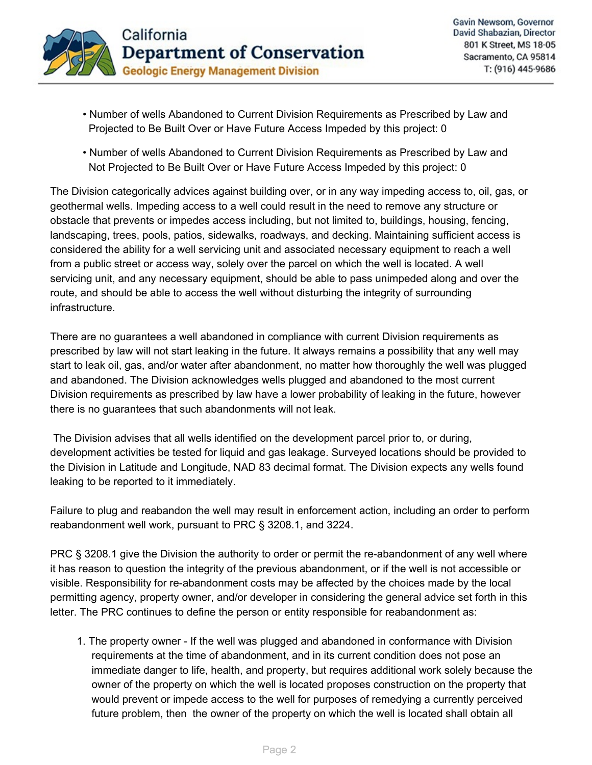

- Number of wells Abandoned to Current Division Requirements as Prescribed by Law and Projected to Be Built Over or Have Future Access Impeded by this project: 0
- Number of wells Abandoned to Current Division Requirements as Prescribed by Law and Not Projected to Be Built Over or Have Future Access Impeded by this project: 0

The Division categorically advices against building over, or in any way impeding access to, oil, gas, or geothermal wells. Impeding access to a well could result in the need to remove any structure or obstacle that prevents or impedes access including, but not limited to, buildings, housing, fencing, landscaping, trees, pools, patios, sidewalks, roadways, and decking. Maintaining sufficient access is considered the ability for a well servicing unit and associated necessary equipment to reach a well from a public street or access way, solely over the parcel on which the well is located. A well servicing unit, and any necessary equipment, should be able to pass unimpeded along and over the route, and should be able to access the well without disturbing the integrity of surrounding infrastructure.

There are no guarantees a well abandoned in compliance with current Division requirements as prescribed by law will not start leaking in the future. It always remains a possibility that any well may start to leak oil, gas, and/or water after abandonment, no matter how thoroughly the well was plugged and abandoned. The Division acknowledges wells plugged and abandoned to the most current Division requirements as prescribed by law have a lower probability of leaking in the future, however there is no guarantees that such abandonments will not leak.

The Division advises that all wells identified on the development parcel prior to, or during, development activities be tested for liquid and gas leakage. Surveyed locations should be provided to the Division in Latitude and Longitude, NAD 83 decimal format. The Division expects any wells found leaking to be reported to it immediately.

Failure to plug and reabandon the well may result in enforcement action, including an order to perform reabandonment well work, pursuant to PRC § 3208.1, and 3224.

PRC § 3208.1 give the Division the authority to order or permit the re-abandonment of any well where it has reason to question the integrity of the previous abandonment, or if the well is not accessible or visible. Responsibility for re-abandonment costs may be affected by the choices made by the local permitting agency, property owner, and/or developer in considering the general advice set forth in this letter. The PRC continues to define the person or entity responsible for reabandonment as:

1. The property owner - If the well was plugged and abandoned in conformance with Division requirements at the time of abandonment, and in its current condition does not pose an immediate danger to life, health, and property, but requires additional work solely because the owner of the property on which the well is located proposes construction on the property that would prevent or impede access to the well for purposes of remedying a currently perceived future problem, then the owner of the property on which the well is located shall obtain all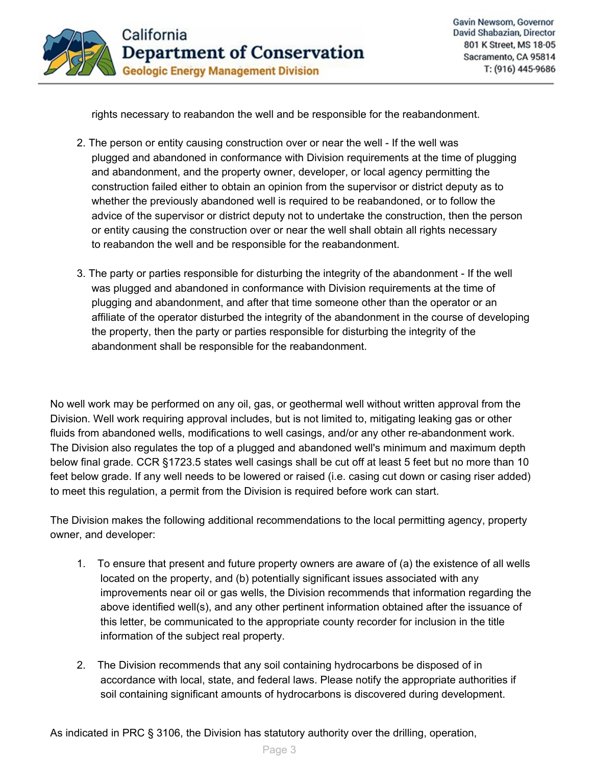

rights necessary to reabandon the well and be responsible for the reabandonment.

- 2. The person or entity causing construction over or near the well If the well was plugged and abandoned in conformance with Division requirements at the time of plugging and abandonment, and the property owner, developer, or local agency permitting the construction failed either to obtain an opinion from the supervisor or district deputy as to whether the previously abandoned well is required to be reabandoned, or to follow the advice of the supervisor or district deputy not to undertake the construction, then the person or entity causing the construction over or near the well shall obtain all rights necessary to reabandon the well and be responsible for the reabandonment.
- 3. The party or parties responsible for disturbing the integrity of the abandonment If the well was plugged and abandoned in conformance with Division requirements at the time of plugging and abandonment, and after that time someone other than the operator or an affiliate of the operator disturbed the integrity of the abandonment in the course of developing the property, then the party or parties responsible for disturbing the integrity of the abandonment shall be responsible for the reabandonment.

No well work may be performed on any oil, gas, or geothermal well without written approval from the Division. Well work requiring approval includes, but is not limited to, mitigating leaking gas or other fluids from abandoned wells, modifications to well casings, and/or any other re-abandonment work. The Division also regulates the top of a plugged and abandoned well's minimum and maximum depth below final grade. CCR §1723.5 states well casings shall be cut off at least 5 feet but no more than 10 feet below grade. If any well needs to be lowered or raised (i.e. casing cut down or casing riser added) to meet this regulation, a permit from the Division is required before work can start.

The Division makes the following additional recommendations to the local permitting agency, property owner, and developer:

- 1. To ensure that present and future property owners are aware of (a) the existence of all wells located on the property, and (b) potentially significant issues associated with any improvements near oil or gas wells, the Division recommends that information regarding the above identified well(s), and any other pertinent information obtained after the issuance of this letter, be communicated to the appropriate county recorder for inclusion in the title information of the subject real property.
- 2. The Division recommends that any soil containing hydrocarbons be disposed of in accordance with local, state, and federal laws. Please notify the appropriate authorities if soil containing significant amounts of hydrocarbons is discovered during development.

As indicated in PRC § 3106, the Division has statutory authority over the drilling, operation,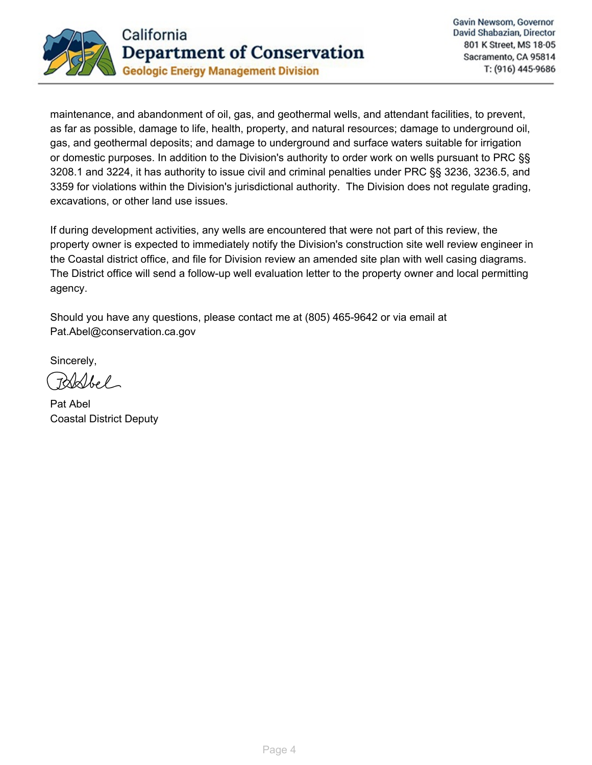

maintenance, and abandonment of oil, gas, and geothermal wells, and attendant facilities, to prevent, as far as possible, damage to life, health, property, and natural resources; damage to underground oil, gas, and geothermal deposits; and damage to underground and surface waters suitable for irrigation or domestic purposes. In addition to the Division's authority to order work on wells pursuant to PRC §§ 3208.1 and 3224, it has authority to issue civil and criminal penalties under PRC §§ 3236, 3236.5, and 3359 for violations within the Division's jurisdictional authority. The Division does not regulate grading, excavations, or other land use issues.

If during development activities, any wells are encountered that were not part of this review, the property owner is expected to immediately notify the Division's construction site well review engineer in the Coastal district office, and file for Division review an amended site plan with well casing diagrams. The District office will send a follow-up well evaluation letter to the property owner and local permitting agency.

Should you have any questions, please contact me at (805) 465-9642 or via email at Pat.Abel@conservation.ca.gov

Sincerely,

Pat-Abel Coastal District Deputy